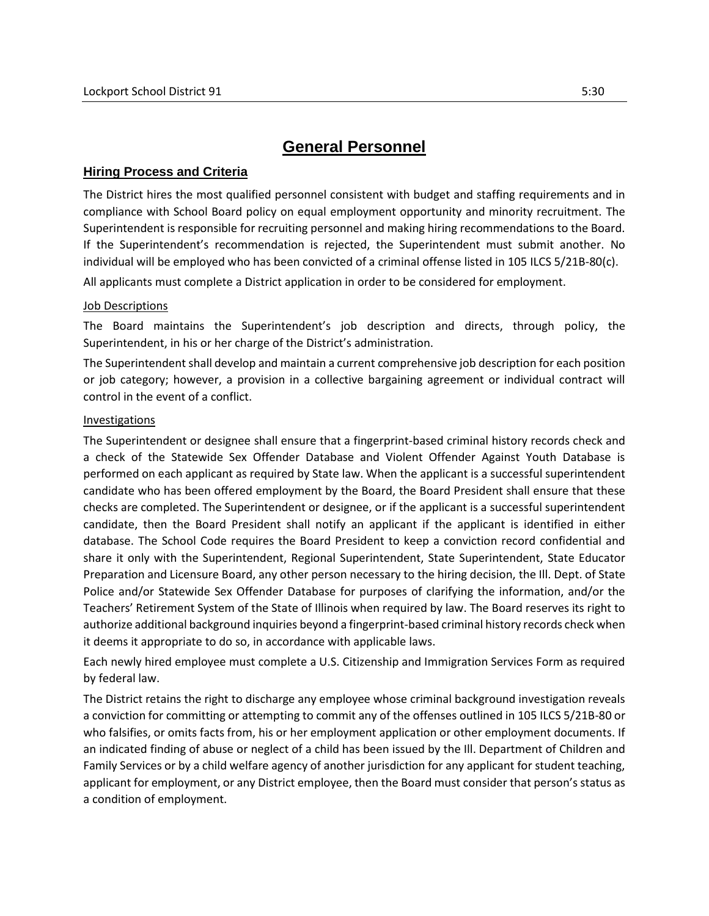# **General Personnel**

## **Hiring Process and Criteria**

The District hires the most qualified personnel consistent with budget and staffing requirements and in compliance with School Board policy on equal employment opportunity and minority recruitment. The Superintendent is responsible for recruiting personnel and making hiring recommendations to the Board. If the Superintendent's recommendation is rejected, the Superintendent must submit another. No individual will be employed who has been convicted of a criminal offense listed in 105 ILCS 5/21B-80(c).

All applicants must complete a District application in order to be considered for employment.

### Job Descriptions

The Board maintains the Superintendent's job description and directs, through policy, the Superintendent, in his or her charge of the District's administration.

The Superintendent shall develop and maintain a current comprehensive job description for each position or job category; however, a provision in a collective bargaining agreement or individual contract will control in the event of a conflict.

### Investigations

The Superintendent or designee shall ensure that a fingerprint-based criminal history records check and a check of the Statewide Sex Offender Database and Violent Offender Against Youth Database is performed on each applicant as required by State law. When the applicant is a successful superintendent candidate who has been offered employment by the Board, the Board President shall ensure that these checks are completed. The Superintendent or designee, or if the applicant is a successful superintendent candidate, then the Board President shall notify an applicant if the applicant is identified in either database. The School Code requires the Board President to keep a conviction record confidential and share it only with the Superintendent, Regional Superintendent, State Superintendent, State Educator Preparation and Licensure Board, any other person necessary to the hiring decision, the Ill. Dept. of State Police and/or Statewide Sex Offender Database for purposes of clarifying the information, and/or the Teachers' Retirement System of the State of Illinois when required by law. The Board reserves its right to authorize additional background inquiries beyond a fingerprint-based criminal history records check when it deems it appropriate to do so, in accordance with applicable laws.

Each newly hired employee must complete a U.S. Citizenship and Immigration Services Form as required by federal law.

The District retains the right to discharge any employee whose criminal background investigation reveals a conviction for committing or attempting to commit any of the offenses outlined in 105 ILCS 5/21B-80 or who falsifies, or omits facts from, his or her employment application or other employment documents. If an indicated finding of abuse or neglect of a child has been issued by the Ill. Department of Children and Family Services or by a child welfare agency of another jurisdiction for any applicant for student teaching, applicant for employment, or any District employee, then the Board must consider that person's status as a condition of employment.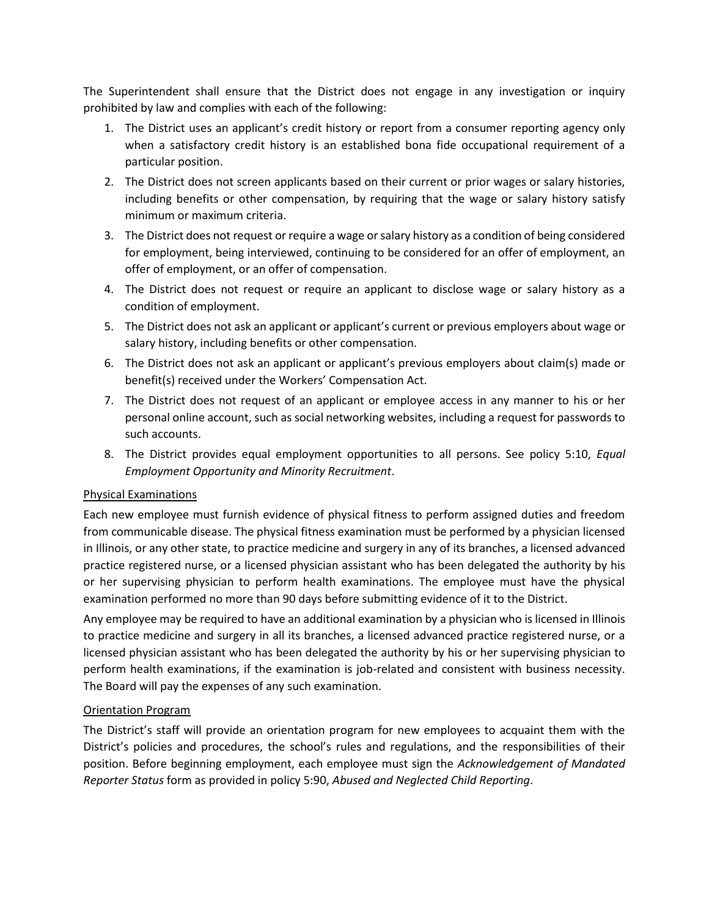The Superintendent shall ensure that the District does not engage in any investigation or inquiry prohibited by law and complies with each of the following:

- 1. The District uses an applicant's credit history or report from a consumer reporting agency only when a satisfactory credit history is an established bona fide occupational requirement of a particular position.
- 2. The District does not screen applicants based on their current or prior wages or salary histories, including benefits or other compensation, by requiring that the wage or salary history satisfy minimum or maximum criteria.
- 3. The District does not request or require a wage or salary history as a condition of being considered for employment, being interviewed, continuing to be considered for an offer of employment, an offer of employment, or an offer of compensation.
- 4. The District does not request or require an applicant to disclose wage or salary history as a condition of employment.
- 5. The District does not ask an applicant or applicant's current or previous employers about wage or salary history, including benefits or other compensation.
- 6. The District does not ask an applicant or applicant's previous employers about claim(s) made or benefit(s) received under the Workers' Compensation Act.
- 7. The District does not request of an applicant or employee access in any manner to his or her personal online account, such as social networking websites, including a request for passwords to such accounts.
- 8. The District provides equal employment opportunities to all persons. See policy 5:10, *Equal Employment Opportunity and Minority Recruitment*.

## Physical Examinations

Each new employee must furnish evidence of physical fitness to perform assigned duties and freedom from communicable disease. The physical fitness examination must be performed by a physician licensed in Illinois, or any other state, to practice medicine and surgery in any of its branches, a licensed advanced practice registered nurse, or a licensed physician assistant who has been delegated the authority by his or her supervising physician to perform health examinations. The employee must have the physical examination performed no more than 90 days before submitting evidence of it to the District.

Any employee may be required to have an additional examination by a physician who is licensed in Illinois to practice medicine and surgery in all its branches, a licensed advanced practice registered nurse, or a licensed physician assistant who has been delegated the authority by his or her supervising physician to perform health examinations, if the examination is job-related and consistent with business necessity. The Board will pay the expenses of any such examination.

## Orientation Program

The District's staff will provide an orientation program for new employees to acquaint them with the District's policies and procedures, the school's rules and regulations, and the responsibilities of their position. Before beginning employment, each employee must sign the *Acknowledgement of Mandated Reporter Status* form as provided in policy 5:90, *Abused and Neglected Child Reporting*.